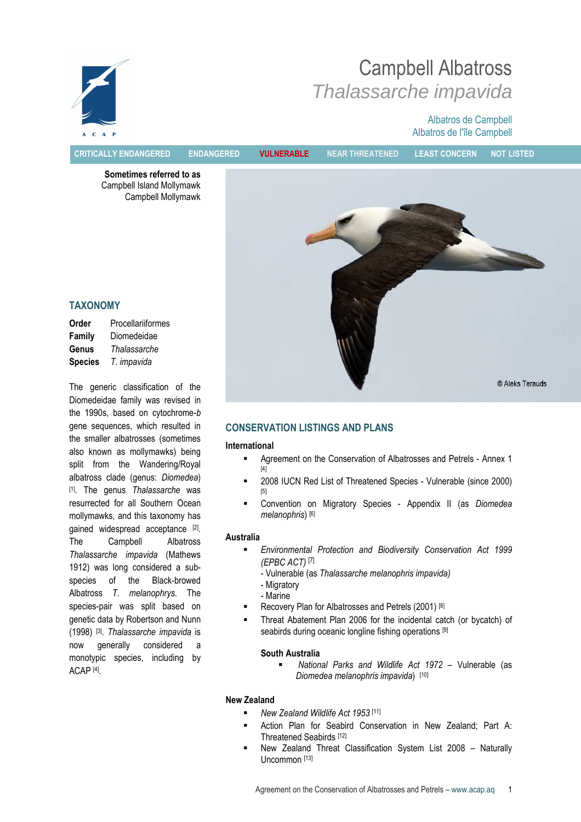

Campbell Albatross Thalassarche impavida

# Albatros de Campbell Albatros de l'île Campbell

Sometimes referred to as Campbell Island Mollymawk Campbell Mollymawk



# TAXONOMY

| Order          | Procellariiformes |
|----------------|-------------------|
| Family         | Diomedeidae       |
| Genus          | Thalassarche      |
| <b>Species</b> | T. impavida       |

The generic classification of the Diomedeidae family was revised in the 1990s, based on cytochrome-b gene sequences, which resulted in the smaller albatrosses (sometimes also known as mollymawks) being split from the Wandering/Royal albatross clade (genus: Diomedea) [1]. The genus Thalassarche was resurrected for all Southern Ocean mollymawks, and this taxonomy has gained widespread acceptance [2]. The Campbell Albatross Thalassarche impavida (Mathews 1912) was long considered a subspecies of the Black-browed Albatross T. melanophrys. The species-pair was split based on genetic data by Robertson and Nunn (1998) <sup>[3]</sup>. Thalassarche impavida is now generally considered a monotypic species, including by ACAP [4] .

# CONSERVATION LISTINGS AND PLANS

#### International

- Agreement on the Conservation of Albatrosses and Petrels Annex 1 [4]
- **2008 IUCN Red List of Threatened Species Vulnerable (since 2000)** [5]
- **EXECONVERGION ON Migratory Species Appendix II (as Diomedea** melanophris) [6]

# Australia

 Environmental Protection and Biodiversity Conservation Act 1999 (EPBC ACT) [7]

- Vulnerable (as Thalassarche melanophris impavida)

- Migratory
- Marine
- Recovery Plan for Albatrosses and Petrels (2001) [8]
- Threat Abatement Plan 2006 for the incidental catch (or bycatch) of seabirds during oceanic longline fishing operations [9]

# South Australia

 National Parks and Wildlife Act 1972 – Vulnerable (as Diomedea melanophris impavida) [10]

# New Zealand

- New Zealand Wildlife Act 1953 [11]
- **EXECT** Action Plan for Seabird Conservation in New Zealand; Part A: Threatened Seabirds [12]
- New Zealand Threat Classification System List 2008 Naturally Uncommon [13]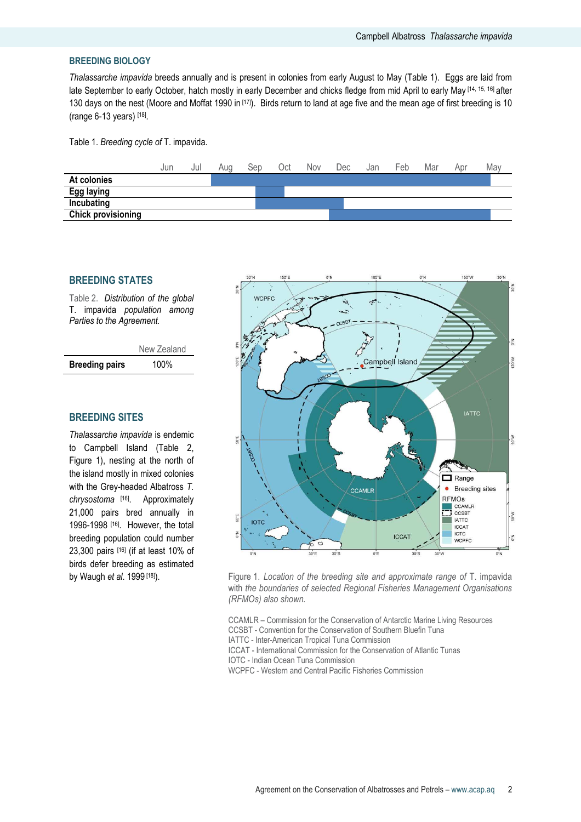#### BREEDING BIOLOGY

Thalassarche impavida breeds annually and is present in colonies from early August to May (Table 1). Eggs are laid from late September to early October, hatch mostly in early December and chicks fledge from mid April to early May [14, 15, 16] after 130 days on the nest (Moore and Moffat 1990 in [17]). Birds return to land at age five and the mean age of first breeding is 10 (range 6-13 years) [18] .

Table 1. Breeding cycle of T. impavida.



# BREEDING STATES

Table 2. Distribution of the global T. impavida population among Parties to the Agreement.

|                       | New Zealand |
|-----------------------|-------------|
| <b>Breeding pairs</b> | 100%        |

# BREEDING SITES

Thalassarche impavida is endemic to Campbell Island (Table 2, Figure 1), nesting at the north of the island mostly in mixed colonies with the Grey-headed Albatross T. chrysostoma<sup>[16]</sup>. Approximately 21,000 pairs bred annually in 1996-1998 [16]. However, the total breeding population could number 23,300 pairs [16] (if at least 10% of birds defer breeding as estimated



by Waugh et al. 1999<sup>[18]</sup>). Figure 1. Location of the breeding site and approximate range of T. impavida with the boundaries of selected Regional Fisheries Management Organisations (RFMOs) also shown.

> CCAMLR – Commission for the Conservation of Antarctic Marine Living Resources CCSBT - Convention for the Conservation of Southern Bluefin Tuna IATTC - Inter-American Tropical Tuna Commission ICCAT - International Commission for the Conservation of Atlantic Tunas

IOTC - Indian Ocean Tuna Commission

WCPFC - Western and Central Pacific Fisheries Commission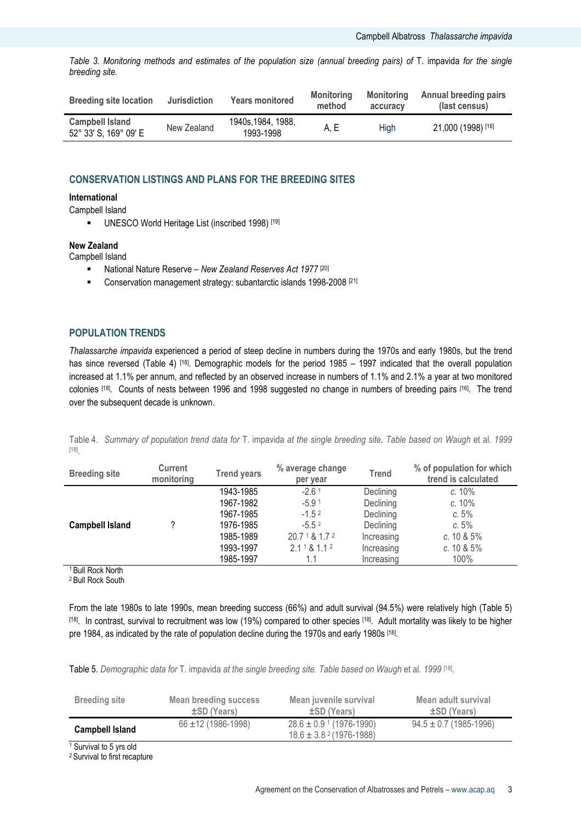Table 3. Monitoring methods and estimates of the population size (annual breeding pairs) of T. impavida for the single breeding site.

| <b>Breeding site location</b>                   | <b>Jurisdiction</b> | <b>Years monitored</b>         | Monitoring<br>method | <b>Monitoring</b><br>accuracy | <b>Annual breeding pairs</b><br>(last census) |
|-------------------------------------------------|---------------------|--------------------------------|----------------------|-------------------------------|-----------------------------------------------|
| <b>Campbell Island</b><br>52° 33' S, 169° 09' E | New Zealand         | 1940s.1984. 1988.<br>1993-1998 | A. E                 | Hiah                          | 21,000 (1998) [16]                            |

# CONSERVATION LISTINGS AND PLANS FOR THE BREEDING SITES

# International

Campbell Island

**UNESCO World Heritage List (inscribed 1998)** [19]

#### New Zealand

Campbell Island

- National Nature Reserve New Zealand Reserves Act 1977<sup>[20]</sup>
- **Conservation management strategy: subantarctic islands 1998-2008** [21]

# POPULATION TRENDS

Thalassarche impavida experienced a period of steep decline in numbers during the 1970s and early 1980s, but the trend has since reversed (Table 4) [18]. Demographic models for the period 1985 – 1997 indicated that the overall population increased at 1.1% per annum, and reflected by an observed increase in numbers of 1.1% and 2.1% a year at two monitored colonies [18]. Counts of nests between 1996 and 1998 suggested no change in numbers of breeding pairs [16]. The trend over the subsequent decade is unknown.

Table 4. Summary of population trend data for T. impavida at the single breeding site. Table based on Waugh et al. 1999 [18] .

| <b>Breeding site</b>   | <b>Current</b><br>monitoring | <b>Trend years</b> | % average change<br>per year | <b>Trend</b> | % of population for which<br>trend is calculated |
|------------------------|------------------------------|--------------------|------------------------------|--------------|--------------------------------------------------|
|                        |                              | 1943-1985          | $-2.61$                      | Declining    | c. 10%                                           |
|                        |                              | 1967-1982          | $-5.91$                      | Declining    | c. 10%                                           |
|                        |                              | 1967-1985          | $-1.52$                      | Declining    | c.5%                                             |
| <b>Campbell Island</b> |                              | 1976-1985          | $-5.5^2$                     | Declining    | c.5%                                             |
|                        |                              | 1985-1989          | 20.7181.72                   | Increasing   | c. 10 & 5%                                       |
|                        |                              | 1993-1997          | 2.1181.12                    | Increasing   | c. $10 & 5%$                                     |
|                        |                              | 1985-1997          | 1.1                          | Increasing   | 100%                                             |

<sup>1</sup> Bull Rock North

<sup>2</sup> Bull Rock South

From the late 1980s to late 1990s, mean breeding success (66%) and adult survival (94.5%) were relatively high (Table 5) [18]. In contrast, survival to recruitment was low (19%) compared to other species [18]. Adult mortality was likely to be higher pre 1984, as indicated by the rate of population decline during the 1970s and early 1980s [18].

Table 5. Demographic data for T. impavida at the single breeding site. Table based on Waugh et al. 1999 [18].

| <b>Breeding site</b>   | Mean breeding success     | Mean juvenile survival                                                  | Mean adult survival        |
|------------------------|---------------------------|-------------------------------------------------------------------------|----------------------------|
|                        | ±SD (Years)               | ±SD (Years)                                                             | ±SD (Years)                |
| <b>Campbell Island</b> | $66 \pm 12 (1986 - 1998)$ | $28.6 \pm 0.9$ 1 (1976-1990)<br>$18.6 \pm 3.8$ <sup>2</sup> (1976-1988) | $94.5 \pm 0.7$ (1985-1996) |

<sup>1</sup> Survival to 5 yrs old

2 Survival to first recapture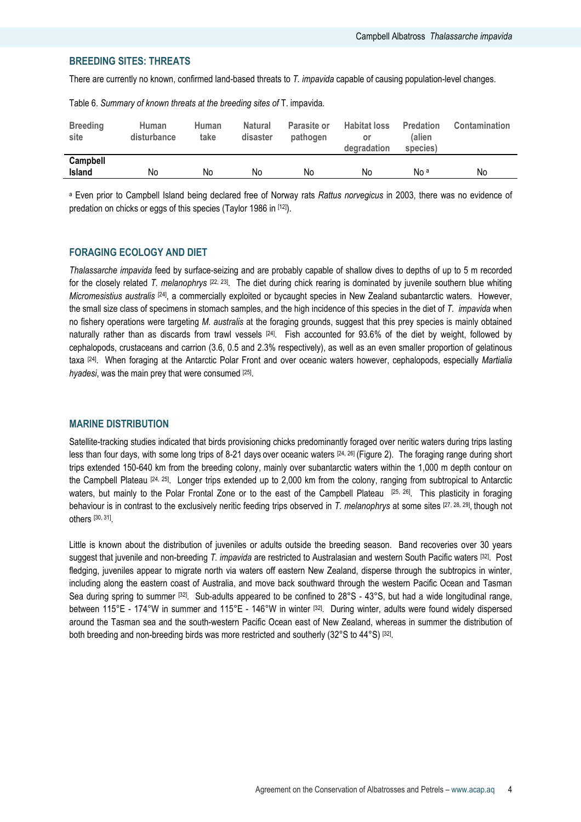# BREEDING SITES: THREATS

There are currently no known, confirmed land-based threats to T. impavida capable of causing population-level changes.

| <b>Breeding</b><br>site   | Human<br>disturbance | Human<br>take | <b>Natural</b><br>disaster | <b>Parasite or</b><br>pathogen | <b>Habitat loss</b><br>or<br>degradation | <b>Predation</b><br>(alien<br>species) | <b>Contamination</b> |
|---------------------------|----------------------|---------------|----------------------------|--------------------------------|------------------------------------------|----------------------------------------|----------------------|
| Campbell<br><b>Island</b> | No                   | No            | No                         | No                             | No                                       | No <sup>a</sup>                        | No                   |

Table 6. Summary of known threats at the breeding sites of T. impavida.

<sup>a</sup> Even prior to Campbell Island being declared free of Norway rats Rattus norvegicus in 2003, there was no evidence of predation on chicks or eggs of this species (Taylor 1986 in [12]).

# FORAGING ECOLOGY AND DIET

Thalassarche impavida feed by surface-seizing and are probably capable of shallow dives to depths of up to 5 m recorded for the closely related T. melanophrys  $[22, 23]$ . The diet during chick rearing is dominated by juvenile southern blue whiting Micromesistius australis [24], a commercially exploited or bycaught species in New Zealand subantarctic waters. However, the small size class of specimens in stomach samples, and the high incidence of this species in the diet of T. *impavida* when no fishery operations were targeting M. australis at the foraging grounds, suggest that this prey species is mainly obtained naturally rather than as discards from trawl vessels  $[24]$ . Fish accounted for 93.6% of the diet by weight, followed by cephalopods, crustaceans and carrion (3.6, 0.5 and 2.3% respectively), as well as an even smaller proportion of gelatinous taxa [24]. When foraging at the Antarctic Polar Front and over oceanic waters however, cephalopods, especially Martialia hyadesi, was the main prey that were consumed [25].

#### MARINE DISTRIBUTION

Satellite-tracking studies indicated that birds provisioning chicks predominantly foraged over neritic waters during trips lasting less than four days, with some long trips of 8-21 days over oceanic waters [24, 26] (Figure 2). The foraging range during short trips extended 150-640 km from the breeding colony, mainly over subantarctic waters within the 1,000 m depth contour on the Campbell Plateau [24, 25]. Longer trips extended up to 2,000 km from the colony, ranging from subtropical to Antarctic waters, but mainly to the Polar Frontal Zone or to the east of the Campbell Plateau [25, 26]. This plasticity in foraging behaviour is in contrast to the exclusively neritic feeding trips observed in T. melanophrys at some sites [27, 28, 29], though not others [30, 31] .

Little is known about the distribution of juveniles or adults outside the breeding season. Band recoveries over 30 years suggest that juvenile and non-breeding T. impavida are restricted to Australasian and western South Pacific waters [32]. Post fledging, juveniles appear to migrate north via waters off eastern New Zealand, disperse through the subtropics in winter, including along the eastern coast of Australia, and move back southward through the western Pacific Ocean and Tasman Sea during spring to summer [32]. Sub-adults appeared to be confined to 28°S - 43°S, but had a wide longitudinal range, between 115°E - 174°W in summer and 115°E - 146°W in winter [32]. During winter, adults were found widely dispersed around the Tasman sea and the south-western Pacific Ocean east of New Zealand, whereas in summer the distribution of both breeding and non-breeding birds was more restricted and southerly (32°S to 44°S) [32].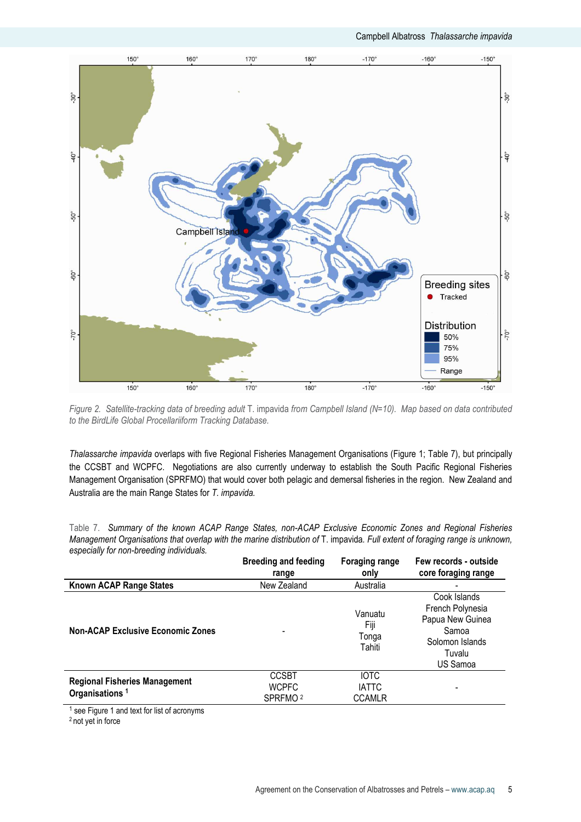

Figure 2. Satellite-tracking data of breeding adult T. impavida from Campbell Island (N=10). Map based on data contributed to the BirdLife Global Procellariiform Tracking Database.

Thalassarche impavida overlaps with five Regional Fisheries Management Organisations (Figure 1; Table 7), but principally the CCSBT and WCPFC. Negotiations are also currently underway to establish the South Pacific Regional Fisheries Management Organisation (SPRFMO) that would cover both pelagic and demersal fisheries in the region. New Zealand and Australia are the main Range States for T. impavida.

Table 7. Summary of the known ACAP Range States, non-ACAP Exclusive Economic Zones and Regional Fisheries Management Organisations that overlap with the marine distribution of T. impavida. Full extent of foraging range is unknown, especially for non-breeding individuals.

|                                                                    | <b>Breeding and feeding</b><br>range                | <b>Foraging range</b><br>only                | Few records - outside<br>core foraging range                                                           |
|--------------------------------------------------------------------|-----------------------------------------------------|----------------------------------------------|--------------------------------------------------------------------------------------------------------|
| Known ACAP Range States                                            | New Zealand                                         | Australia                                    |                                                                                                        |
| <b>Non-ACAP Exclusive Economic Zones</b>                           |                                                     | Vanuatu<br>Fiji<br>Tonga<br>Tahiti           | Cook Islands<br>French Polynesia<br>Papua New Guinea<br>Samoa<br>Solomon Islands<br>Tuvalu<br>US Samoa |
| <b>Regional Fisheries Management</b><br>Organisations <sup>1</sup> | <b>CCSBT</b><br><b>WCPFC</b><br>SPRFMO <sup>2</sup> | <b>IOTC</b><br><b>IATTC</b><br><b>CCAMLR</b> |                                                                                                        |

<sup>1</sup> see Figure 1 and text for list of acronyms

2 not yet in force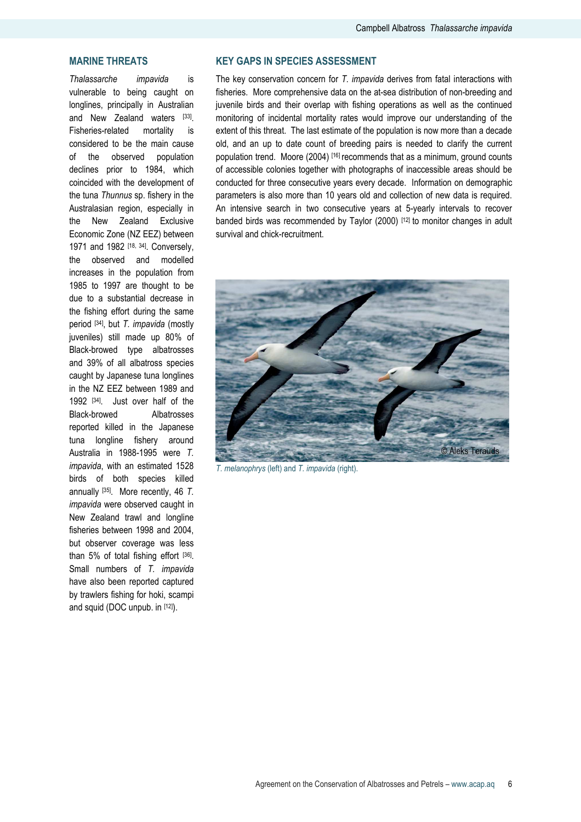# MARINE THREATS

Thalassarche impavida is vulnerable to being caught on longlines, principally in Australian and New Zealand waters [33]. Fisheries-related mortality is considered to be the main cause of the observed population declines prior to 1984, which coincided with the development of the tuna Thunnus sp. fishery in the Australasian region, especially in the New Zealand Exclusive Economic Zone (NZ EEZ) between 1971 and 1982 [18, 34]. Conversely, the observed and modelled increases in the population from 1985 to 1997 are thought to be due to a substantial decrease in the fishing effort during the same period [34], but T. impavida (mostly juveniles) still made up 80% of Black-browed type albatrosses and 39% of all albatross species caught by Japanese tuna longlines in the NZ EEZ between 1989 and 1992 [34]. Just over half of the Black-browed Albatrosses reported killed in the Japanese tuna longline fishery around Australia in 1988-1995 were T. impavida, with an estimated 1528 birds of both species killed annually [35]. More recently, 46 T. impavida were observed caught in New Zealand trawl and longline fisheries between 1998 and 2004, but observer coverage was less than 5% of total fishing effort [36]. Small numbers of T. impavida have also been reported captured by trawlers fishing for hoki, scampi and squid (DOC unpub. in [12]).

# KEY GAPS IN SPECIES ASSESSMENT

The key conservation concern for T. impavida derives from fatal interactions with fisheries. More comprehensive data on the at-sea distribution of non-breeding and juvenile birds and their overlap with fishing operations as well as the continued monitoring of incidental mortality rates would improve our understanding of the extent of this threat. The last estimate of the population is now more than a decade old, and an up to date count of breeding pairs is needed to clarify the current population trend. Moore (2004) [16] recommends that as a minimum, ground counts of accessible colonies together with photographs of inaccessible areas should be conducted for three consecutive years every decade. Information on demographic parameters is also more than 10 years old and collection of new data is required. An intensive search in two consecutive years at 5-yearly intervals to recover banded birds was recommended by Taylor (2000) [12] to monitor changes in adult survival and chick-recruitment.



T. melanophrys (left) and T. impavida (right).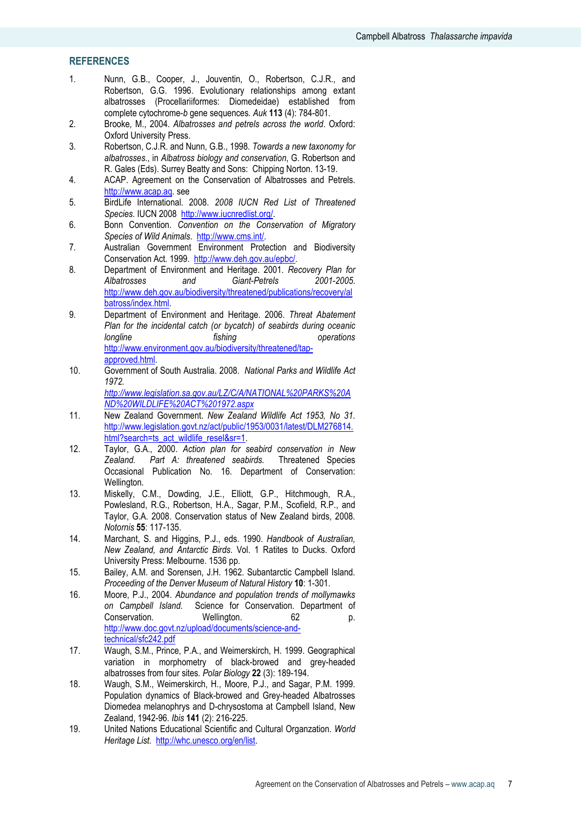# **REFERENCES**

- 1. Nunn, G.B., Cooper, J., Jouventin, O., Robertson, C.J.R., and Robertson, G.G. 1996. Evolutionary relationships among extant albatrosses (Procellariiformes: Diomedeidae) established from complete cytochrome-b gene sequences. Auk 113 (4): 784-801.
- 2. Brooke, M., 2004. Albatrosses and petrels across the world. Oxford: Oxford University Press.
- 3. Robertson, C.J.R. and Nunn, G.B., 1998. Towards a new taxonomy for albatrosses., in Albatross biology and conservation, G. Robertson and R. Gales (Eds). Surrey Beatty and Sons: Chipping Norton. 13-19.
- 4. ACAP. Agreement on the Conservation of Albatrosses and Petrels. http://www.acap.aq. see
- 5. BirdLife International. 2008. 2008 IUCN Red List of Threatened Species. IUCN 2008 http://www.iucnredlist.org/.
- 6. Bonn Convention. Convention on the Conservation of Migratory Species of Wild Animals. http://www.cms.int/.
- 7. Australian Government Environment Protection and Biodiversity Conservation Act. 1999. http://www.deh.gov.au/epbc/.
- 8. Department of Environment and Heritage. 2001. Recovery Plan for<br>Albatrosses and Giant-Petrels 2001-2005. and Giant-Petrels http://www.deh.gov.au/biodiversity/threatened/publications/recovery/al batross/index.html.
- 9. Department of Environment and Heritage. 2006. Threat Abatement Plan for the incidental catch (or bycatch) of seabirds during oceanic longline fishing the fishing operations http://www.environment.gov.au/biodiversity/threatened/tapapproved.html.
- 10. Government of South Australia. 2008. National Parks and Wildlife Act 1972. http://www.legislation.sa.gov.au/LZ/C/A/NATIONAL%20PARKS%20A

ND%20WILDLIFE%20ACT%201972.aspx

- 11. New Zealand Government. New Zealand Wildlife Act 1953, No 31. http://www.legislation.govt.nz/act/public/1953/0031/latest/DLM276814. html?search=ts\_act\_wildlife\_resel&sr=1.
- 12. Taylor, G.A., 2000. Action plan for seabird conservation in New Zealand. Part A: threatened seabirds. Threatened Species Occasional Publication No. 16. Department of Conservation: Wellington.
- 13. Miskelly, C.M., Dowding, J.E., Elliott, G.P., Hitchmough, R.A., Powlesland, R.G., Robertson, H.A., Sagar, P.M., Scofield, R.P., and Taylor, G.A. 2008. Conservation status of New Zealand birds, 2008. Notornis 55: 117-135.
- 14. Marchant, S. and Higgins, P.J., eds. 1990. Handbook of Australian, New Zealand, and Antarctic Birds. Vol. 1 Ratites to Ducks. Oxford University Press: Melbourne. 1536 pp.
- 15. Bailey, A.M. and Sorensen, J.H. 1962. Subantarctic Campbell Island. Proceeding of the Denver Museum of Natural History 10: 1-301.
- 16. Moore, P.J., 2004. Abundance and population trends of mollymawks on Campbell Island. Science for Conservation. Department of Conservation. Wellington. 62 p. http://www.doc.govt.nz/upload/documents/science-andtechnical/sfc242.pdf
- 17. Waugh, S.M., Prince, P.A., and Weimerskirch, H. 1999. Geographical variation in morphometry of black-browed and grey-headed albatrosses from four sites. Polar Biology 22 (3): 189-194.
- 18. Waugh, S.M., Weimerskirch, H., Moore, P.J., and Sagar, P.M. 1999. Population dynamics of Black-browed and Grey-headed Albatrosses Diomedea melanophrys and D-chrysostoma at Campbell Island, New Zealand, 1942-96. Ibis 141 (2): 216-225.
- 19. United Nations Educational Scientific and Cultural Organzation. World Heritage List. http://whc.unesco.org/en/list.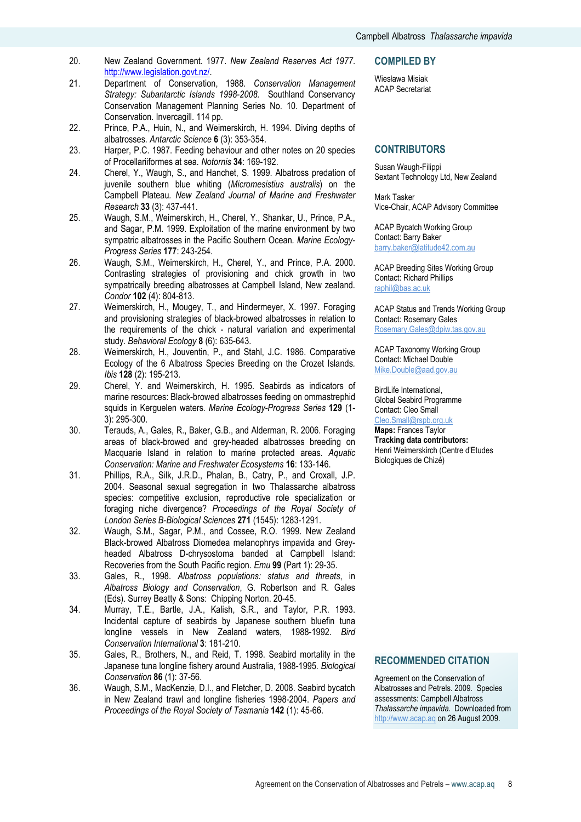- 20. New Zealand Government. 1977. New Zealand Reserves Act 1977. http://www.legislation.govt.nz/.
- 21. Department of Conservation, 1988. Conservation Management Strategy: Subantarctic Islands 1998-2008. Southland Conservancy Conservation Management Planning Series No. 10. Department of Conservation. Invercagill. 114 pp.
- 22. Prince, P.A., Huin, N., and Weimerskirch, H. 1994. Diving depths of albatrosses. Antarctic Science 6 (3): 353-354.
- 23. Harper, P.C. 1987. Feeding behaviour and other notes on 20 species of Procellariiformes at sea. Notornis 34: 169-192.
- 24. Cherel, Y., Waugh, S., and Hanchet, S. 1999. Albatross predation of juvenile southern blue whiting (Micromesistius australis) on the Campbell Plateau. New Zealand Journal of Marine and Freshwater Research 33 (3): 437-441.
- 25. Waugh, S.M., Weimerskirch, H., Cherel, Y., Shankar, U., Prince, P.A., and Sagar, P.M. 1999. Exploitation of the marine environment by two sympatric albatrosses in the Pacific Southern Ocean. Marine Ecology-Progress Series 177: 243-254.
- 26. Waugh, S.M., Weimerskirch, H., Cherel, Y., and Prince, P.A. 2000. Contrasting strategies of provisioning and chick growth in two sympatrically breeding albatrosses at Campbell Island, New zealand. Condor 102 (4): 804-813.
- 27. Weimerskirch, H., Mougey, T., and Hindermeyer, X. 1997. Foraging and provisioning strategies of black-browed albatrosses in relation to the requirements of the chick - natural variation and experimental study. Behavioral Ecology 8 (6): 635-643.
- 28. Weimerskirch, H., Jouventin, P., and Stahl, J.C. 1986. Comparative Ecology of the 6 Albatross Species Breeding on the Crozet Islands. Ibis 128 (2): 195-213.
- 29. Cherel, Y. and Weimerskirch, H. 1995. Seabirds as indicators of marine resources: Black-browed albatrosses feeding on ommastrephid squids in Kerquelen waters. Marine Ecology-Progress Series 129 (1-3): 295-300.
- 30. Terauds, A., Gales, R., Baker, G.B., and Alderman, R. 2006. Foraging areas of black-browed and grey-headed albatrosses breeding on Macquarie Island in relation to marine protected areas. Aquatic Conservation: Marine and Freshwater Ecosystems 16: 133-146.
- 31. Phillips, R.A., Silk, J.R.D., Phalan, B., Catry, P., and Croxall, J.P. 2004. Seasonal sexual segregation in two Thalassarche albatross species: competitive exclusion, reproductive role specialization or foraging niche divergence? Proceedings of the Royal Society of London Series B-Biological Sciences 271 (1545): 1283-1291.
- 32. Waugh, S.M., Sagar, P.M., and Cossee, R.O. 1999. New Zealand Black-browed Albatross Diomedea melanophrys impavida and Greyheaded Albatross D-chrysostoma banded at Campbell Island: Recoveries from the South Pacific region. Emu 99 (Part 1): 29-35.
- 33. Gales, R., 1998. Albatross populations: status and threats, in Albatross Biology and Conservation, G. Robertson and R. Gales (Eds). Surrey Beatty & Sons: Chipping Norton. 20-45.
- 34. Murray, T.E., Bartle, J.A., Kalish, S.R., and Taylor, P.R. 1993. Incidental capture of seabirds by Japanese southern bluefin tuna longline vessels in New Zealand waters, 1988-1992. Bird Conservation International 3: 181-210.
- 35. Gales, R., Brothers, N., and Reid, T. 1998. Seabird mortality in the Japanese tuna longline fishery around Australia, 1988-1995. Biological Conservation 86 (1): 37-56.
- 36. Waugh, S.M., MacKenzie, D.I., and Fletcher, D. 2008. Seabird bycatch in New Zealand trawl and longline fisheries 1998-2004. Papers and Proceedings of the Royal Society of Tasmania 142 (1): 45-66.

#### COMPILED BY

Wiesława Misiak ACAP Secretariat

# **CONTRIBUTORS**

Susan Waugh-Filippi Sextant Technology Ltd, New Zealand

Mark Tasker Vice-Chair, ACAP Advisory Committee

ACAP Bycatch Working Group Contact: Barry Baker barry.baker@latitude42.com.au

ACAP Breeding Sites Working Group Contact: Richard Phillips raphil@bas.ac.uk

ACAP Status and Trends Working Group Contact: Rosemary Gales Rosemary.Gales@dpiw.tas.gov.au

ACAP Taxonomy Working Group Contact: Michael Double Mike.Double@aad.gov.au

BirdLife International, Global Seabird Programme Contact: Cleo Small Cleo.Small@rspb.org.uk

Maps: Frances Taylor Tracking data contributors: Henri Weimerskirch (Centre d'Etudes Biologiques de Chizé)

## RECOMMENDED CITATION

Agreement on the Conservation of Albatrosses and Petrels. 2009. Species assessments: Campbell Albatross Thalassarche impavida. Downloaded from http://www.acap.aq on 26 August 2009.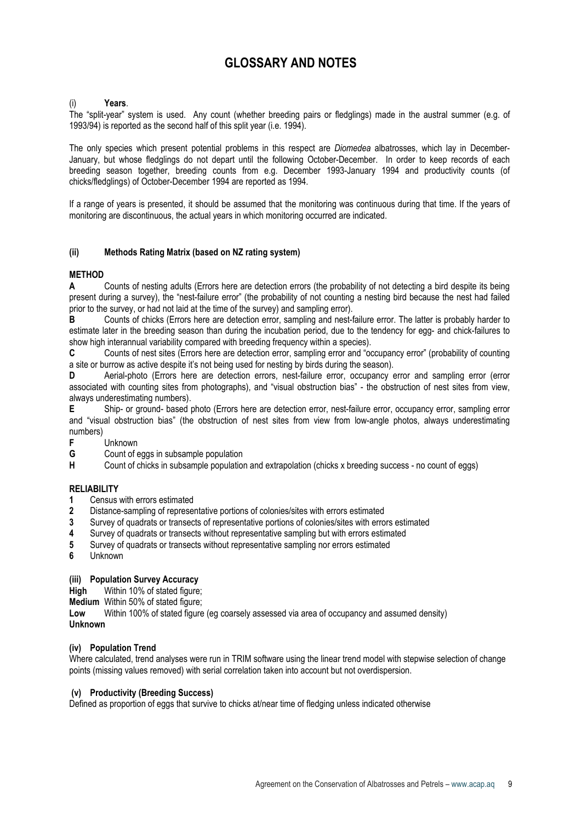# GLOSSARY AND NOTES

# Years.

The "split-year" system is used. Any count (whether breeding pairs or fledglings) made in the austral summer (e.g. of 1993/94) is reported as the second half of this split year (i.e. 1994).

The only species which present potential problems in this respect are *Diomedea* albatrosses, which lay in December-January, but whose fledglings do not depart until the following October-December. In order to keep records of each breeding season together, breeding counts from e.g. December 1993-January 1994 and productivity counts (of chicks/fledglings) of October-December 1994 are reported as 1994.

If a range of years is presented, it should be assumed that the monitoring was continuous during that time. If the years of monitoring are discontinuous, the actual years in which monitoring occurred are indicated.

# (ii) Methods Rating Matrix (based on NZ rating system)

# **METHOD**

A Counts of nesting adults (Errors here are detection errors (the probability of not detecting a bird despite its being present during a survey), the "nest-failure error" (the probability of not counting a nesting bird because the nest had failed prior to the survey, or had not laid at the time of the survey) and sampling error).

B Counts of chicks (Errors here are detection error, sampling and nest-failure error. The latter is probably harder to estimate later in the breeding season than during the incubation period, due to the tendency for egg- and chick-failures to show high interannual variability compared with breeding frequency within a species).

C Counts of nest sites (Errors here are detection error, sampling error and "occupancy error" (probability of counting a site or burrow as active despite it's not being used for nesting by birds during the season).

D Aerial-photo (Errors here are detection errors, nest-failure error, occupancy error and sampling error (error associated with counting sites from photographs), and "visual obstruction bias" - the obstruction of nest sites from view, always underestimating numbers).

E Ship- or ground- based photo (Errors here are detection error, nest-failure error, occupancy error, sampling error and "visual obstruction bias" (the obstruction of nest sites from view from low-angle photos, always underestimating numbers)

Unknown

G Count of eggs in subsample population

H Count of chicks in subsample population and extrapolation (chicks x breeding success - no count of eggs)

# RELIABILITY

- 1 Census with errors estimated
- 2 Distance-sampling of representative portions of colonies/sites with errors estimated
- 3 Survey of quadrats or transects of representative portions of colonies/sites with errors estimated
- 4 Survey of quadrats or transects without representative sampling but with errors estimated
- 5 Survey of quadrats or transects without representative sampling nor errors estimated
- 6 Unknown

# (iii) Population Survey Accuracy

High Within 10% of stated figure;

Medium Within 50% of stated figure;

Low Within 100% of stated figure (eg coarsely assessed via area of occupancy and assumed density)

# Unknown

# (iv) Population Trend

Where calculated, trend analyses were run in TRIM software using the linear trend model with stepwise selection of change points (missing values removed) with serial correlation taken into account but not overdispersion.

# (v) Productivity (Breeding Success)

Defined as proportion of eggs that survive to chicks at/near time of fledging unless indicated otherwise